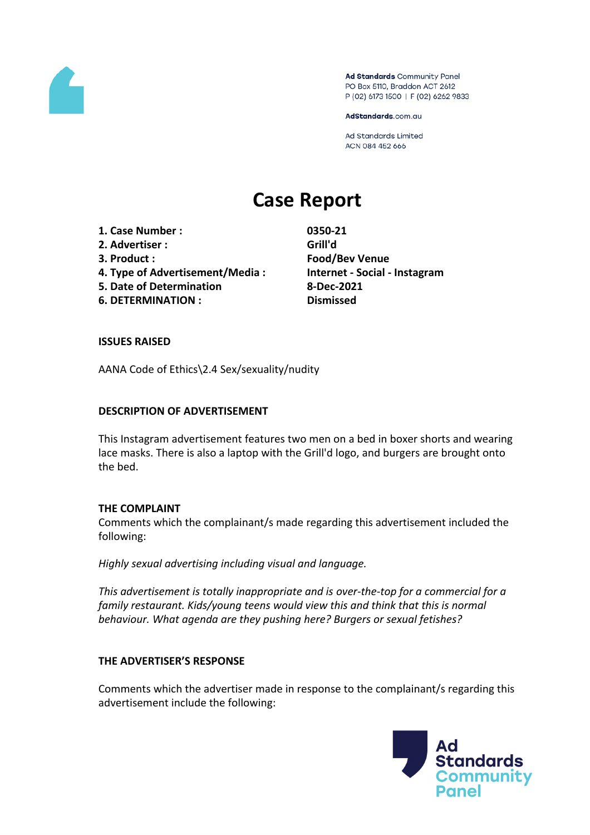

Ad Standards Community Panel PO Box 5110, Braddon ACT 2612 P (02) 6173 1500 | F (02) 6262 9833

AdStandards.com.au

Ad Standards Limited ACN 084 452 666

# **Case Report**

- **1. Case Number : 0350-21**
- **2. Advertiser : Grill'd**
- 
- **4. Type of Advertisement/Media : Internet - Social - Instagram**
- **5. Date of Determination 8-Dec-2021**
- **6. DETERMINATION : Dismissed**

**3. Product : Food/Bev Venue**

## **ISSUES RAISED**

AANA Code of Ethics\2.4 Sex/sexuality/nudity

## **DESCRIPTION OF ADVERTISEMENT**

This Instagram advertisement features two men on a bed in boxer shorts and wearing lace masks. There is also a laptop with the Grill'd logo, and burgers are brought onto the bed.

#### **THE COMPLAINT**

Comments which the complainant/s made regarding this advertisement included the following:

*Highly sexual advertising including visual and language.*

*This advertisement is totally inappropriate and is over-the-top for a commercial for a family restaurant. Kids/young teens would view this and think that this is normal behaviour. What agenda are they pushing here? Burgers or sexual fetishes?*

#### **THE ADVERTISER'S RESPONSE**

Comments which the advertiser made in response to the complainant/s regarding this advertisement include the following:

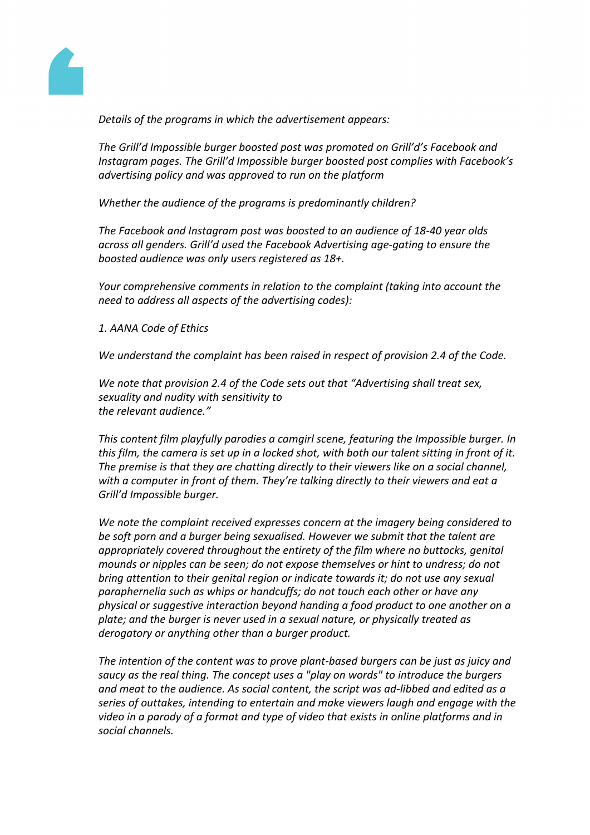

*Details of the programs in which the advertisement appears:*

*The Grill'd Impossible burger boosted post was promoted on Grill'd's Facebook and Instagram pages. The Grill'd Impossible burger boosted post complies with Facebook's advertising policy and was approved to run on the platform*

*Whether the audience of the programs is predominantly children?*

*The Facebook and Instagram post was boosted to an audience of 18-40 year olds across all genders. Grill'd used the Facebook Advertising age-gating to ensure the boosted audience was only users registered as 18+.*

*Your comprehensive comments in relation to the complaint (taking into account the need to address all aspects of the advertising codes):*

*1. AANA Code of Ethics*

*We understand the complaint has been raised in respect of provision 2.4 of the Code.*

*We note that provision 2.4 of the Code sets out that "Advertising shall treat sex, sexuality and nudity with sensitivity to the relevant audience."*

*This content film playfully parodies a camgirl scene, featuring the Impossible burger. In* this film, the camera is set up in a locked shot, with both our talent sitting in front of it. *The premise is that they are chatting directly to their viewers like on a social channel, with a computer in front of them. They're talking directly to their viewers and eat a Grill'd Impossible burger.*

*We note the complaint received expresses concern at the imagery being considered to be soft porn and a burger being sexualised. However we submit that the talent are appropriately covered throughout the entirety of the film where no buttocks, genital mounds or nipples can be seen; do not expose themselves or hint to undress; do not bring attention to their genital region or indicate towards it; do not use any sexual paraphernelia such as whips or handcuffs; do not touch each other or have any physical or suggestive interaction beyond handing a food product to one another on a plate; and the burger is never used in a sexual nature, or physically treated as derogatory or anything other than a burger product.*

*The intention of the content was to prove plant-based burgers can be just as juicy and saucy as the real thing. The concept uses a "play on words" to introduce the burgers and meat to the audience. As social content, the script was ad-libbed and edited as a series of outtakes, intending to entertain and make viewers laugh and engage with the video in a parody of a format and type of video that exists in online platforms and in social channels.*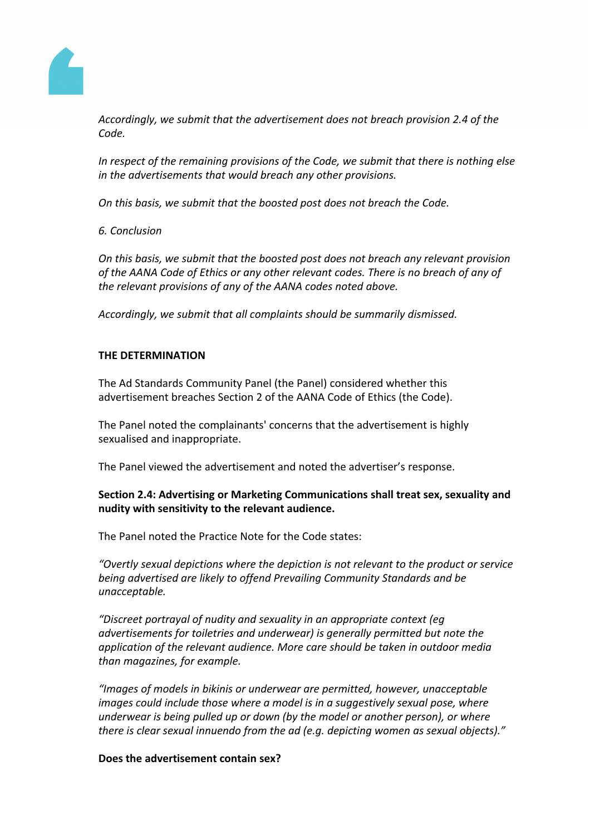

*Accordingly, we submit that the advertisement does not breach provision 2.4 of the Code.*

*In respect of the remaining provisions of the Code, we submit that there is nothing else in the advertisements that would breach any other provisions.*

*On this basis, we submit that the boosted post does not breach the Code.*

*6. Conclusion*

*On this basis, we submit that the boosted post does not breach any relevant provision of the AANA Code of Ethics or any other relevant codes. There is no breach of any of the relevant provisions of any of the AANA codes noted above.*

*Accordingly, we submit that all complaints should be summarily dismissed.*

## **THE DETERMINATION**

The Ad Standards Community Panel (the Panel) considered whether this advertisement breaches Section 2 of the AANA Code of Ethics (the Code).

The Panel noted the complainants' concerns that the advertisement is highly sexualised and inappropriate.

The Panel viewed the advertisement and noted the advertiser's response.

# **Section 2.4: Advertising or Marketing Communications shall treat sex, sexuality and nudity with sensitivity to the relevant audience.**

The Panel noted the Practice Note for the Code states:

*"Overtly sexual depictions where the depiction is not relevant to the product or service being advertised are likely to offend Prevailing Community Standards and be unacceptable.*

*"Discreet portrayal of nudity and sexuality in an appropriate context (eg advertisements for toiletries and underwear) is generally permitted but note the application of the relevant audience. More care should be taken in outdoor media than magazines, for example.*

*"Images of models in bikinis or underwear are permitted, however, unacceptable images could include those where a model is in a suggestively sexual pose, where underwear is being pulled up or down (by the model or another person), or where there is clear sexual innuendo from the ad (e.g. depicting women as sexual objects)."*

## **Does the advertisement contain sex?**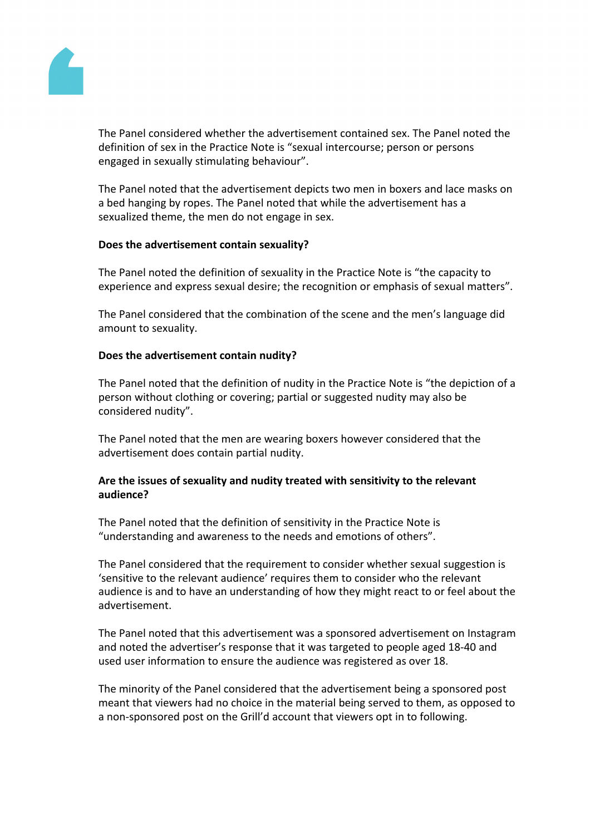

The Panel considered whether the advertisement contained sex. The Panel noted the definition of sex in the Practice Note is "sexual intercourse; person or persons engaged in sexually stimulating behaviour".

The Panel noted that the advertisement depicts two men in boxers and lace masks on a bed hanging by ropes. The Panel noted that while the advertisement has a sexualized theme, the men do not engage in sex.

## **Does the advertisement contain sexuality?**

The Panel noted the definition of sexuality in the Practice Note is "the capacity to experience and express sexual desire; the recognition or emphasis of sexual matters".

The Panel considered that the combination of the scene and the men's language did amount to sexuality.

## **Does the advertisement contain nudity?**

The Panel noted that the definition of nudity in the Practice Note is "the depiction of a person without clothing or covering; partial or suggested nudity may also be considered nudity".

The Panel noted that the men are wearing boxers however considered that the advertisement does contain partial nudity.

## **Are the issues of sexuality and nudity treated with sensitivity to the relevant audience?**

The Panel noted that the definition of sensitivity in the Practice Note is "understanding and awareness to the needs and emotions of others".

The Panel considered that the requirement to consider whether sexual suggestion is 'sensitive to the relevant audience' requires them to consider who the relevant audience is and to have an understanding of how they might react to or feel about the advertisement.

The Panel noted that this advertisement was a sponsored advertisement on Instagram and noted the advertiser's response that it was targeted to people aged 18-40 and used user information to ensure the audience was registered as over 18.

The minority of the Panel considered that the advertisement being a sponsored post meant that viewers had no choice in the material being served to them, as opposed to a non-sponsored post on the Grill'd account that viewers opt in to following.